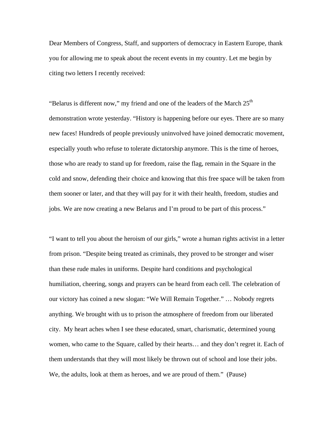Dear Members of Congress, Staff, and supporters of democracy in Eastern Europe, thank you for allowing me to speak about the recent events in my country. Let me begin by citing two letters I recently received:

"Belarus is different now," my friend and one of the leaders of the March  $25<sup>th</sup>$ demonstration wrote yesterday. "History is happening before our eyes. There are so many new faces! Hundreds of people previously uninvolved have joined democratic movement, especially youth who refuse to tolerate dictatorship anymore. This is the time of heroes, those who are ready to stand up for freedom, raise the flag, remain in the Square in the cold and snow, defending their choice and knowing that this free space will be taken from them sooner or later, and that they will pay for it with their health, freedom, studies and jobs. We are now creating a new Belarus and I'm proud to be part of this process."

"I want to tell you about the heroism of our girls," wrote a human rights activist in a letter from prison. "Despite being treated as criminals, they proved to be stronger and wiser than these rude males in uniforms. Despite hard conditions and psychological humiliation, cheering, songs and prayers can be heard from each cell. The celebration of our victory has coined a new slogan: "We Will Remain Together." … Nobody regrets anything. We brought with us to prison the atmosphere of freedom from our liberated city. My heart aches when I see these educated, smart, charismatic, determined young women, who came to the Square, called by their hearts… and they don't regret it. Each of them understands that they will most likely be thrown out of school and lose their jobs. We, the adults, look at them as heroes, and we are proud of them." (Pause)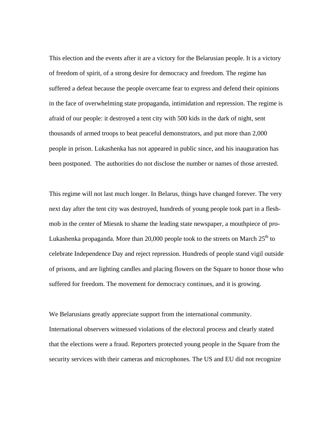This election and the events after it are a victory for the Belarusian people. It is a victory of freedom of spirit, of a strong desire for democracy and freedom. The regime has suffered a defeat because the people overcame fear to express and defend their opinions in the face of overwhelming state propaganda, intimidation and repression. The regime is afraid of our people: it destroyed a tent city with 500 kids in the dark of night, sent thousands of armed troops to beat peaceful demonstrators, and put more than 2,000 people in prison. Lukashenka has not appeared in public since, and his inauguration has been postponed. The authorities do not disclose the number or names of those arrested.

This regime will not last much longer. In Belarus, things have changed forever. The very next day after the tent city was destroyed, hundreds of young people took part in a fleshmob in the center of Miesnk to shame the leading state newspaper, a mouthpiece of pro-Lukashenka propaganda. More than 20,000 people took to the streets on March  $25<sup>th</sup>$  to celebrate Independence Day and reject repression. Hundreds of people stand vigil outside of prisons, and are lighting candles and placing flowers on the Square to honor those who suffered for freedom. The movement for democracy continues, and it is growing.

We Belarusians greatly appreciate support from the international community. International observers witnessed violations of the electoral process and clearly stated that the elections were a fraud. Reporters protected young people in the Square from the security services with their cameras and microphones. The US and EU did not recognize